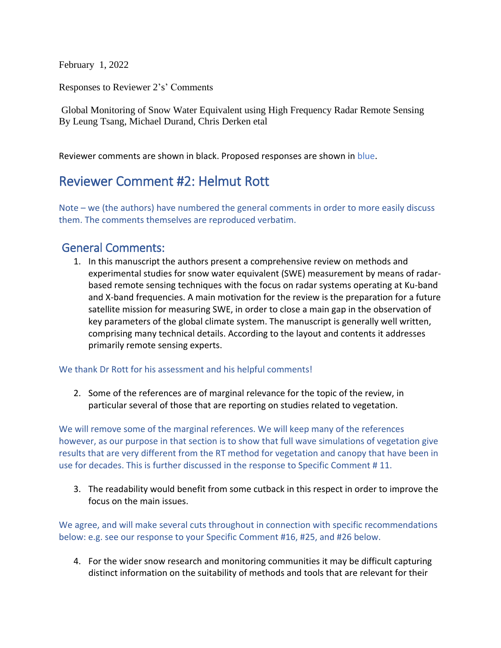February 1, 2022

Responses to Reviewer 2's' Comments

Global Monitoring of Snow Water Equivalent using High Frequency Radar Remote Sensing By Leung Tsang, Michael Durand, Chris Derken etal

Reviewer comments are shown in black. Proposed responses are shown in blue.

# Reviewer Comment #2: Helmut Rott

Note – we (the authors) have numbered the general comments in order to more easily discuss them. The comments themselves are reproduced verbatim.

# General Comments:

1. In this manuscript the authors present a comprehensive review on methods and experimental studies for snow water equivalent (SWE) measurement by means of radarbased remote sensing techniques with the focus on radar systems operating at Ku-band and X-band frequencies. A main motivation for the review is the preparation for a future satellite mission for measuring SWE, in order to close a main gap in the observation of key parameters of the global climate system. The manuscript is generally well written, comprising many technical details. According to the layout and contents it addresses primarily remote sensing experts.

#### We thank Dr Rott for his assessment and his helpful comments!

2. Some of the references are of marginal relevance for the topic of the review, in particular several of those that are reporting on studies related to vegetation.

We will remove some of the marginal references. We will keep many of the references however, as our purpose in that section is to show that full wave simulations of vegetation give results that are very different from the RT method for vegetation and canopy that have been in use for decades. This is further discussed in the response to Specific Comment # 11.

3. The readability would benefit from some cutback in this respect in order to improve the focus on the main issues.

We agree, and will make several cuts throughout in connection with specific recommendations below: e.g. see our response to your Specific Comment #16, #25, and #26 below.

4. For the wider snow research and monitoring communities it may be difficult capturing distinct information on the suitability of methods and tools that are relevant for their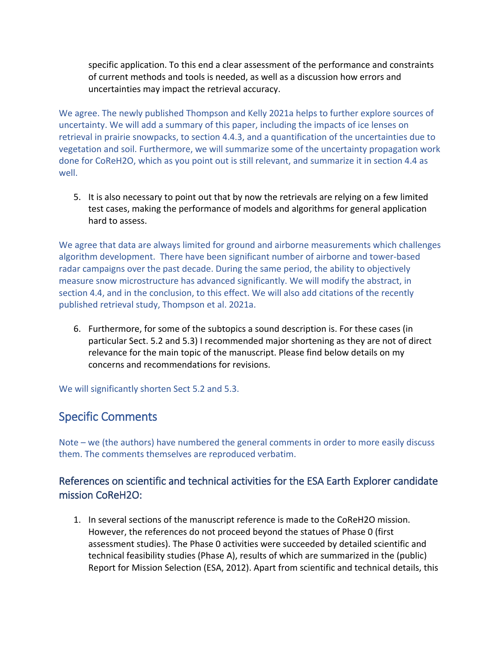specific application. To this end a clear assessment of the performance and constraints of current methods and tools is needed, as well as a discussion how errors and uncertainties may impact the retrieval accuracy.

We agree. The newly published Thompson and Kelly 2021a helps to further explore sources of uncertainty. We will add a summary of this paper, including the impacts of ice lenses on retrieval in prairie snowpacks, to section 4.4.3, and a quantification of the uncertainties due to vegetation and soil. Furthermore, we will summarize some of the uncertainty propagation work done for CoReH2O, which as you point out is still relevant, and summarize it in section 4.4 as well.

5. It is also necessary to point out that by now the retrievals are relying on a few limited test cases, making the performance of models and algorithms for general application hard to assess.

We agree that data are always limited for ground and airborne measurements which challenges algorithm development. There have been significant number of airborne and tower-based radar campaigns over the past decade. During the same period, the ability to objectively measure snow microstructure has advanced significantly. We will modify the abstract, in section 4.4, and in the conclusion, to this effect. We will also add citations of the recently published retrieval study, Thompson et al. 2021a.

6. Furthermore, for some of the subtopics a sound description is. For these cases (in particular Sect. 5.2 and 5.3) I recommended major shortening as they are not of direct relevance for the main topic of the manuscript. Please find below details on my concerns and recommendations for revisions.

We will significantly shorten Sect 5.2 and 5.3.

# Specific Comments

Note – we (the authors) have numbered the general comments in order to more easily discuss them. The comments themselves are reproduced verbatim.

## References on scientific and technical activities for the ESA Earth Explorer candidate mission CoReH2O:

1. In several sections of the manuscript reference is made to the CoReH2O mission. However, the references do not proceed beyond the statues of Phase 0 (first assessment studies). The Phase 0 activities were succeeded by detailed scientific and technical feasibility studies (Phase A), results of which are summarized in the (public) Report for Mission Selection (ESA, 2012). Apart from scientific and technical details, this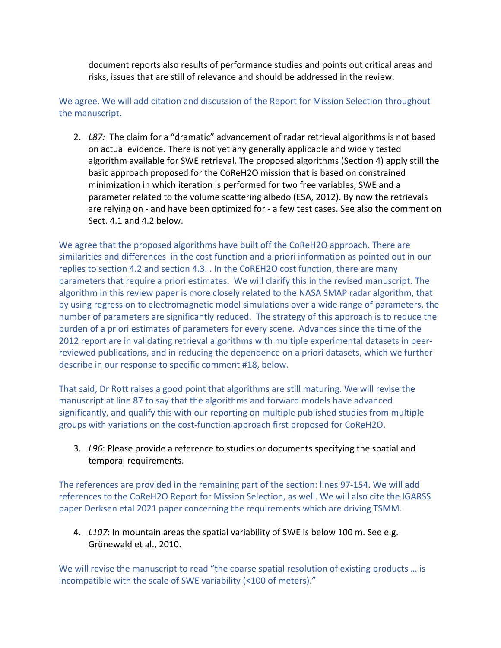document reports also results of performance studies and points out critical areas and risks, issues that are still of relevance and should be addressed in the review.

We agree. We will add citation and discussion of the Report for Mission Selection throughout the manuscript.

2. *L87:* The claim for a "dramatic" advancement of radar retrieval algorithms is not based on actual evidence. There is not yet any generally applicable and widely tested algorithm available for SWE retrieval. The proposed algorithms (Section 4) apply still the basic approach proposed for the CoReH2O mission that is based on constrained minimization in which iteration is performed for two free variables, SWE and a parameter related to the volume scattering albedo (ESA, 2012). By now the retrievals are relying on - and have been optimized for - a few test cases. See also the comment on Sect. 4.1 and 4.2 below.

We agree that the proposed algorithms have built off the CoReH2O approach. There are similarities and differences in the cost function and a priori information as pointed out in our replies to section 4.2 and section 4.3. . In the CoREH2O cost function, there are many parameters that require a priori estimates. We will clarify this in the revised manuscript. The algorithm in this review paper is more closely related to the NASA SMAP radar algorithm, that by using regression to electromagnetic model simulations over a wide range of parameters, the number of parameters are significantly reduced. The strategy of this approach is to reduce the burden of a priori estimates of parameters for every scene. Advances since the time of the 2012 report are in validating retrieval algorithms with multiple experimental datasets in peerreviewed publications, and in reducing the dependence on a priori datasets, which we further describe in our response to specific comment #18, below.

That said, Dr Rott raises a good point that algorithms are still maturing. We will revise the manuscript at line 87 to say that the algorithms and forward models have advanced significantly, and qualify this with our reporting on multiple published studies from multiple groups with variations on the cost-function approach first proposed for CoReH2O.

3. *L96*: Please provide a reference to studies or documents specifying the spatial and temporal requirements.

The references are provided in the remaining part of the section: lines 97-154. We will add references to the CoReH2O Report for Mission Selection, as well. We will also cite the IGARSS paper Derksen etal 2021 paper concerning the requirements which are driving TSMM.

4. *L107*: In mountain areas the spatial variability of SWE is below 100 m. See e.g. Grünewald et al., 2010.

We will revise the manuscript to read "the coarse spatial resolution of existing products ... is incompatible with the scale of SWE variability (<100 of meters)."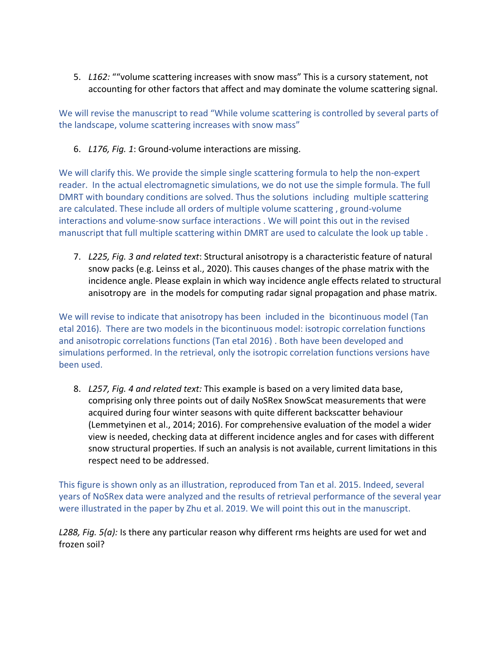5. *L162:* ""volume scattering increases with snow mass" This is a cursory statement, not accounting for other factors that affect and may dominate the volume scattering signal.

We will revise the manuscript to read "While volume scattering is controlled by several parts of the landscape, volume scattering increases with snow mass"

6. *L176, Fig. 1*: Ground-volume interactions are missing.

We will clarify this. We provide the simple single scattering formula to help the non-expert reader. In the actual electromagnetic simulations, we do not use the simple formula. The full DMRT with boundary conditions are solved. Thus the solutions including multiple scattering are calculated. These include all orders of multiple volume scattering , ground-volume interactions and volume-snow surface interactions . We will point this out in the revised manuscript that full multiple scattering within DMRT are used to calculate the look up table .

7. *L225, Fig. 3 and related text*: Structural anisotropy is a characteristic feature of natural snow packs (e.g. Leinss et al., 2020). This causes changes of the phase matrix with the incidence angle. Please explain in which way incidence angle effects related to structural anisotropy are in the models for computing radar signal propagation and phase matrix.

We will revise to indicate that anisotropy has been included in the bicontinuous model (Tan etal 2016). There are two models in the bicontinuous model: isotropic correlation functions and anisotropic correlations functions (Tan etal 2016) . Both have been developed and simulations performed. In the retrieval, only the isotropic correlation functions versions have been used.

8. *L257, Fig. 4 and related text:* This example is based on a very limited data base, comprising only three points out of daily NoSRex SnowScat measurements that were acquired during four winter seasons with quite different backscatter behaviour (Lemmetyinen et al., 2014; 2016). For comprehensive evaluation of the model a wider view is needed, checking data at different incidence angles and for cases with different snow structural properties. If such an analysis is not available, current limitations in this respect need to be addressed.

This figure is shown only as an illustration, reproduced from Tan et al. 2015. Indeed, several years of NoSRex data were analyzed and the results of retrieval performance of the several year were illustrated in the paper by Zhu et al. 2019. We will point this out in the manuscript.

*L288, Fig. 5(a):* Is there any particular reason why different rms heights are used for wet and frozen soil?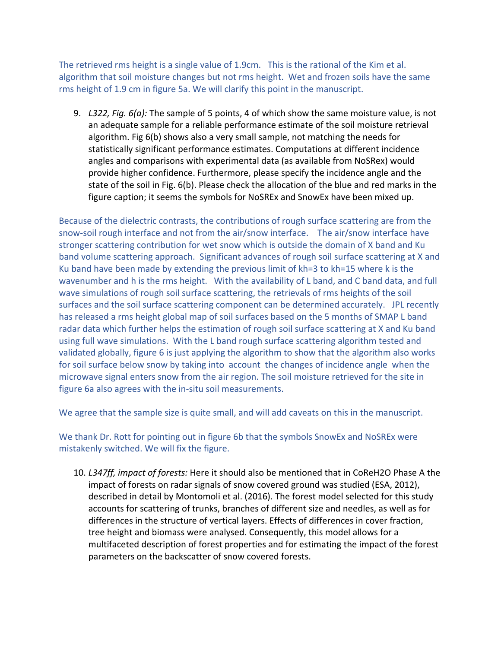The retrieved rms height is a single value of 1.9cm. This is the rational of the Kim et al. algorithm that soil moisture changes but not rms height. Wet and frozen soils have the same rms height of 1.9 cm in figure 5a. We will clarify this point in the manuscript.

9. *L322, Fig. 6(a):* The sample of 5 points, 4 of which show the same moisture value, is not an adequate sample for a reliable performance estimate of the soil moisture retrieval algorithm. Fig 6(b) shows also a very small sample, not matching the needs for statistically significant performance estimates. Computations at different incidence angles and comparisons with experimental data (as available from NoSRex) would provide higher confidence. Furthermore, please specify the incidence angle and the state of the soil in Fig. 6(b). Please check the allocation of the blue and red marks in the figure caption; it seems the symbols for NoSREx and SnowEx have been mixed up.

Because of the dielectric contrasts, the contributions of rough surface scattering are from the snow-soil rough interface and not from the air/snow interface. The air/snow interface have stronger scattering contribution for wet snow which is outside the domain of X band and Ku band volume scattering approach. Significant advances of rough soil surface scattering at X and Ku band have been made by extending the previous limit of kh=3 to kh=15 where k is the wavenumber and h is the rms height. With the availability of L band, and C band data, and full wave simulations of rough soil surface scattering, the retrievals of rms heights of the soil surfaces and the soil surface scattering component can be determined accurately. JPL recently has released a rms height global map of soil surfaces based on the 5 months of SMAP L band radar data which further helps the estimation of rough soil surface scattering at X and Ku band using full wave simulations. With the L band rough surface scattering algorithm tested and validated globally, figure 6 is just applying the algorithm to show that the algorithm also works for soil surface below snow by taking into account the changes of incidence angle when the microwave signal enters snow from the air region. The soil moisture retrieved for the site in figure 6a also agrees with the in-situ soil measurements.

We agree that the sample size is quite small, and will add caveats on this in the manuscript.

We thank Dr. Rott for pointing out in figure 6b that the symbols SnowEx and NoSREx were mistakenly switched. We will fix the figure.

10. *L347ff, impact of forests:* Here it should also be mentioned that in CoReH2O Phase A the impact of forests on radar signals of snow covered ground was studied (ESA, 2012), described in detail by Montomoli et al. (2016). The forest model selected for this study accounts for scattering of trunks, branches of different size and needles, as well as for differences in the structure of vertical layers. Effects of differences in cover fraction, tree height and biomass were analysed. Consequently, this model allows for a multifaceted description of forest properties and for estimating the impact of the forest parameters on the backscatter of snow covered forests.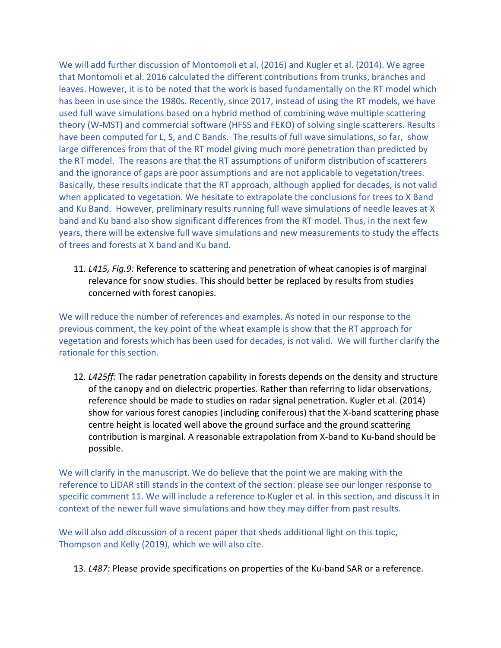We will add further discussion of Montomoli et al. (2016) and Kugler et al. (2014). We agree that Montomoli et al. 2016 calculated the different contributions from trunks, branches and leaves. However, it is to be noted that the work is based fundamentally on the RT model which has been in use since the 1980s. Recently, since 2017, instead of using the RT models, we have used full wave simulations based on a hybrid method of combining wave multiple scattering theory (W-MST) and commercial software (HFSS and FEKO) of solving single scatterers. Results have been computed for L, S, and C Bands. The results of full wave simulations, so far, show large differences from that of the RT model giving much more penetration than predicted by the RT model. The reasons are that the RT assumptions of uniform distribution of scatterers and the ignorance of gaps are poor assumptions and are not applicable to vegetation/trees. Basically, these results indicate that the RT approach, although applied for decades, is not valid when applicated to vegetation. We hesitate to extrapolate the conclusions for trees to X Band and Ku Band. However, preliminary results running full wave simulations of needle leaves at X band and Ku band also show significant differences from the RT model. Thus, in the next few years, there will be extensive full wave simulations and new measurements to study the effects of trees and forests at X band and Ku band.

11. *L415, Fig.9:* Reference to scattering and penetration of wheat canopies is of marginal relevance for snow studies. This should better be replaced by results from studies concerned with forest canopies.

We will reduce the number of references and examples. As noted in our response to the previous comment, the key point of the wheat example is show that the RT approach for vegetation and forests which has been used for decades, is not valid. We will further clarify the rationale for this section.

12. *L425ff:* The radar penetration capability in forests depends on the density and structure of the canopy and on dielectric properties. Rather than referring to lidar observations, reference should be made to studies on radar signal penetration. Kugler et al. (2014) show for various forest canopies (including coniferous) that the X-band scattering phase centre height is located well above the ground surface and the ground scattering contribution is marginal. A reasonable extrapolation from X-band to Ku-band should be possible.

We will clarify in the manuscript. We do believe that the point we are making with the reference to LiDAR still stands in the context of the section: please see our longer response to specific comment 11. We will include a reference to Kugler et al. in this section, and discuss it in context of the newer full wave simulations and how they may differ from past results.

We will also add discussion of a recent paper that sheds additional light on this topic, Thompson and Kelly (2019), which we will also cite.

13. *L487:* Please provide specifications on properties of the Ku-band SAR or a reference.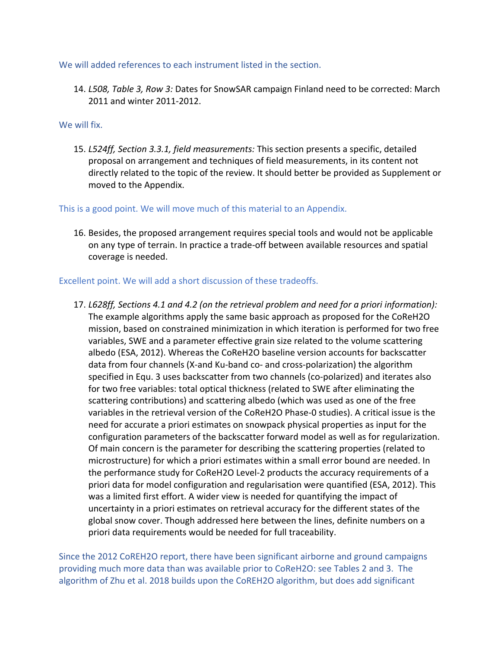We will added references to each instrument listed in the section.

14. *L508, Table 3, Row 3:* Dates for SnowSAR campaign Finland need to be corrected: March 2011 and winter 2011-2012.

#### We will fix.

15. *L524ff, Section 3.3.1, field measurements:* This section presents a specific, detailed proposal on arrangement and techniques of field measurements, in its content not directly related to the topic of the review. It should better be provided as Supplement or moved to the Appendix.

#### This is a good point. We will move much of this material to an Appendix.

16. Besides, the proposed arrangement requires special tools and would not be applicable on any type of terrain. In practice a trade-off between available resources and spatial coverage is needed.

#### Excellent point. We will add a short discussion of these tradeoffs.

17. *L628ff, Sections 4.1 and 4.2 (on the retrieval problem and need for a priori information):*  The example algorithms apply the same basic approach as proposed for the CoReH2O mission, based on constrained minimization in which iteration is performed for two free variables, SWE and a parameter effective grain size related to the volume scattering albedo (ESA, 2012). Whereas the CoReH2O baseline version accounts for backscatter data from four channels (X-and Ku-band co- and cross-polarization) the algorithm specified in Equ. 3 uses backscatter from two channels (co-polarized) and iterates also for two free variables: total optical thickness (related to SWE after eliminating the scattering contributions) and scattering albedo (which was used as one of the free variables in the retrieval version of the CoReH2O Phase-0 studies). A critical issue is the need for accurate a priori estimates on snowpack physical properties as input for the configuration parameters of the backscatter forward model as well as for regularization. Of main concern is the parameter for describing the scattering properties (related to microstructure) for which a priori estimates within a small error bound are needed. In the performance study for CoReH2O Level-2 products the accuracy requirements of a priori data for model configuration and regularisation were quantified (ESA, 2012). This was a limited first effort. A wider view is needed for quantifying the impact of uncertainty in a priori estimates on retrieval accuracy for the different states of the global snow cover. Though addressed here between the lines, definite numbers on a priori data requirements would be needed for full traceability.

Since the 2012 CoREH2O report, there have been significant airborne and ground campaigns providing much more data than was available prior to CoReH2O: see Tables 2 and 3. The algorithm of Zhu et al. 2018 builds upon the CoREH2O algorithm, but does add significant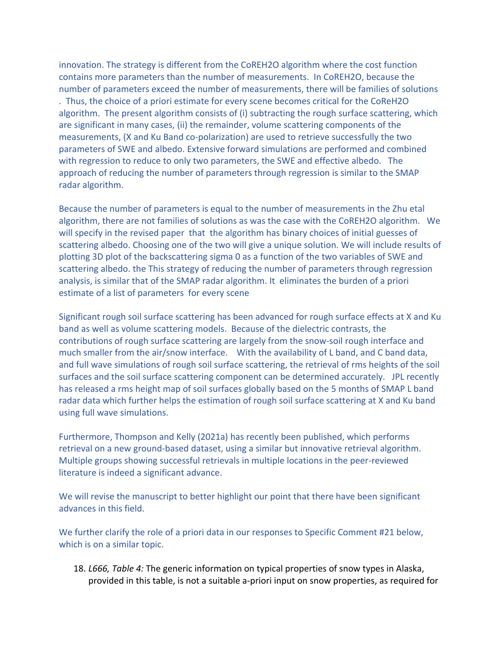innovation. The strategy is different from the CoREH2O algorithm where the cost function contains more parameters than the number of measurements. In CoREH2O, because the number of parameters exceed the number of measurements, there will be families of solutions . Thus, the choice of a priori estimate for every scene becomes critical for the CoReH2O algorithm. The present algorithm consists of (i) subtracting the rough surface scattering, which are significant in many cases, (ii) the remainder, volume scattering components of the measurements, (X and Ku Band co-polarization) are used to retrieve successfully the two parameters of SWE and albedo. Extensive forward simulations are performed and combined with regression to reduce to only two parameters, the SWE and effective albedo. The approach of reducing the number of parameters through regression is similar to the SMAP radar algorithm.

Because the number of parameters is equal to the number of measurements in the Zhu etal algorithm, there are not families of solutions as was the case with the CoREH2O algorithm. We will specify in the revised paper that the algorithm has binary choices of initial guesses of scattering albedo. Choosing one of the two will give a unique solution. We will include results of plotting 3D plot of the backscattering sigma 0 as a function of the two variables of SWE and scattering albedo. the This strategy of reducing the number of parameters through regression analysis, is similar that of the SMAP radar algorithm. It eliminates the burden of a priori estimate of a list of parameters for every scene

Significant rough soil surface scattering has been advanced for rough surface effects at X and Ku band as well as volume scattering models. Because of the dielectric contrasts, the contributions of rough surface scattering are largely from the snow-soil rough interface and much smaller from the air/snow interface. With the availability of L band, and C band data, and full wave simulations of rough soil surface scattering, the retrieval of rms heights of the soil surfaces and the soil surface scattering component can be determined accurately. JPL recently has released a rms height map of soil surfaces globally based on the 5 months of SMAP L band radar data which further helps the estimation of rough soil surface scattering at X and Ku band using full wave simulations.

Furthermore, Thompson and Kelly (2021a) has recently been published, which performs retrieval on a new ground-based dataset, using a similar but innovative retrieval algorithm. Multiple groups showing successful retrievals in multiple locations in the peer-reviewed literature is indeed a significant advance.

We will revise the manuscript to better highlight our point that there have been significant advances in this field.

We further clarify the role of a priori data in our responses to Specific Comment #21 below, which is on a similar topic.

18. *L666, Table 4:* The generic information on typical properties of snow types in Alaska, provided in this table, is not a suitable a-priori input on snow properties, as required for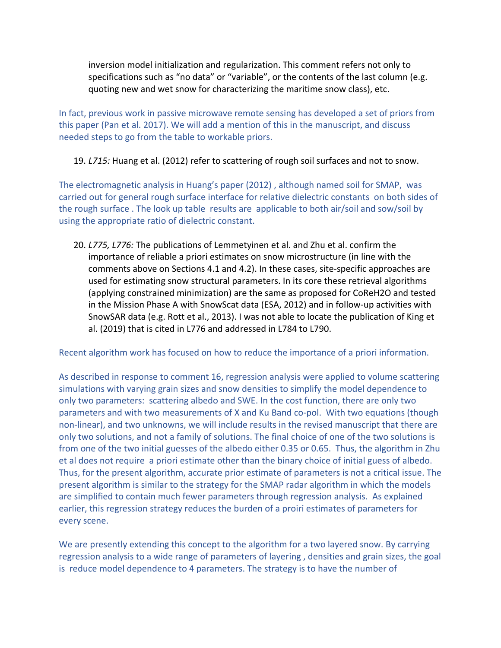inversion model initialization and regularization. This comment refers not only to specifications such as "no data" or "variable", or the contents of the last column (e.g. quoting new and wet snow for characterizing the maritime snow class), etc.

In fact, previous work in passive microwave remote sensing has developed a set of priors from this paper (Pan et al. 2017). We will add a mention of this in the manuscript, and discuss needed steps to go from the table to workable priors.

#### 19. *L715:* Huang et al. (2012) refer to scattering of rough soil surfaces and not to snow.

The electromagnetic analysis in Huang's paper (2012) , although named soil for SMAP, was carried out for general rough surface interface for relative dielectric constants on both sides of the rough surface . The look up table results are applicable to both air/soil and sow/soil by using the appropriate ratio of dielectric constant.

20. *L775, L776:* The publications of Lemmetyinen et al. and Zhu et al. confirm the importance of reliable a priori estimates on snow microstructure (in line with the comments above on Sections 4.1 and 4.2). In these cases, site-specific approaches are used for estimating snow structural parameters. In its core these retrieval algorithms (applying constrained minimization) are the same as proposed for CoReH2O and tested in the Mission Phase A with SnowScat data (ESA, 2012) and in follow-up activities with SnowSAR data (e.g. Rott et al., 2013). I was not able to locate the publication of King et al. (2019) that is cited in L776 and addressed in L784 to L790.

Recent algorithm work has focused on how to reduce the importance of a priori information.

As described in response to comment 16, regression analysis were applied to volume scattering simulations with varying grain sizes and snow densities to simplify the model dependence to only two parameters: scattering albedo and SWE. In the cost function, there are only two parameters and with two measurements of X and Ku Band co-pol. With two equations (though non-linear), and two unknowns, we will include results in the revised manuscript that there are only two solutions, and not a family of solutions. The final choice of one of the two solutions is from one of the two initial guesses of the albedo either 0.35 or 0.65. Thus, the algorithm in Zhu et al does not require a priori estimate other than the binary choice of initial guess of albedo. Thus, for the present algorithm, accurate prior estimate of parameters is not a critical issue. The present algorithm is similar to the strategy for the SMAP radar algorithm in which the models are simplified to contain much fewer parameters through regression analysis. As explained earlier, this regression strategy reduces the burden of a proiri estimates of parameters for every scene.

We are presently extending this concept to the algorithm for a two layered snow. By carrying regression analysis to a wide range of parameters of layering , densities and grain sizes, the goal is reduce model dependence to 4 parameters. The strategy is to have the number of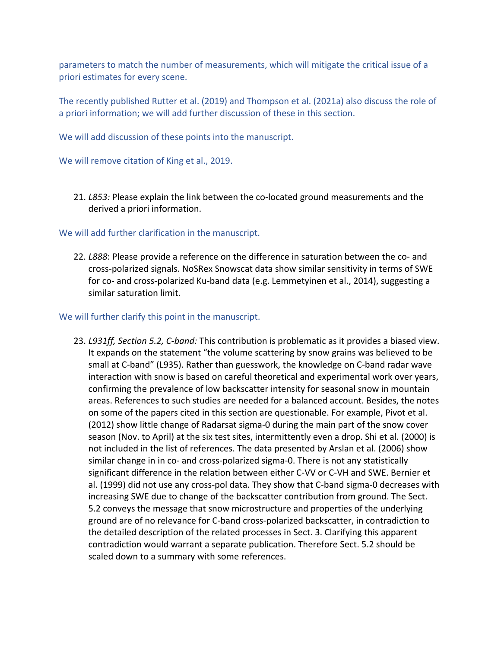parameters to match the number of measurements, which will mitigate the critical issue of a priori estimates for every scene.

The recently published Rutter et al. (2019) and Thompson et al. (2021a) also discuss the role of a priori information; we will add further discussion of these in this section.

We will add discussion of these points into the manuscript.

We will remove citation of King et al., 2019.

21. *L853:* Please explain the link between the co-located ground measurements and the derived a priori information.

#### We will add further clarification in the manuscript.

22. *L888*: Please provide a reference on the difference in saturation between the co- and cross-polarized signals. NoSRex Snowscat data show similar sensitivity in terms of SWE for co- and cross-polarized Ku-band data (e.g. Lemmetyinen et al., 2014), suggesting a similar saturation limit.

#### We will further clarify this point in the manuscript.

23. *L931ff, Section 5.2, C-band:* This contribution is problematic as it provides a biased view. It expands on the statement "the volume scattering by snow grains was believed to be small at C-band" (L935). Rather than guesswork, the knowledge on C-band radar wave interaction with snow is based on careful theoretical and experimental work over years, confirming the prevalence of low backscatter intensity for seasonal snow in mountain areas. References to such studies are needed for a balanced account. Besides, the notes on some of the papers cited in this section are questionable. For example, Pivot et al. (2012) show little change of Radarsat sigma-0 during the main part of the snow cover season (Nov. to April) at the six test sites, intermittently even a drop. Shi et al. (2000) is not included in the list of references. The data presented by Arslan et al. (2006) show similar change in in co- and cross-polarized sigma-0. There is not any statistically significant difference in the relation between either C-VV or C-VH and SWE. Bernier et al. (1999) did not use any cross-pol data. They show that C-band sigma-0 decreases with increasing SWE due to change of the backscatter contribution from ground. The Sect. 5.2 conveys the message that snow microstructure and properties of the underlying ground are of no relevance for C-band cross-polarized backscatter, in contradiction to the detailed description of the related processes in Sect. 3. Clarifying this apparent contradiction would warrant a separate publication. Therefore Sect. 5.2 should be scaled down to a summary with some references.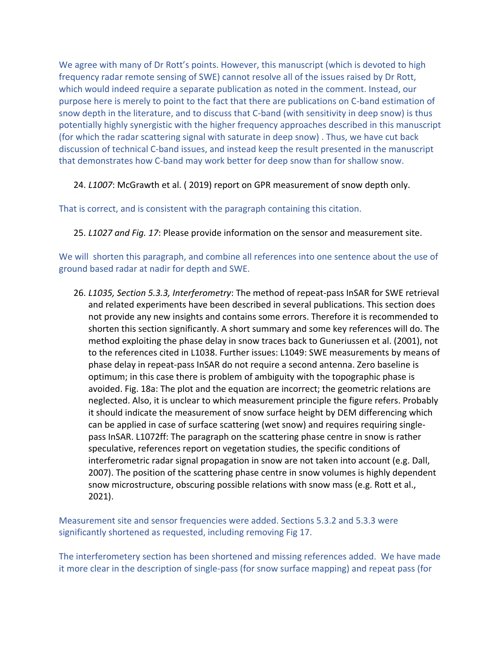We agree with many of Dr Rott's points. However, this manuscript (which is devoted to high frequency radar remote sensing of SWE) cannot resolve all of the issues raised by Dr Rott, which would indeed require a separate publication as noted in the comment. Instead, our purpose here is merely to point to the fact that there are publications on C-band estimation of snow depth in the literature, and to discuss that C-band (with sensitivity in deep snow) is thus potentially highly synergistic with the higher frequency approaches described in this manuscript (for which the radar scattering signal with saturate in deep snow) . Thus, we have cut back discussion of technical C-band issues, and instead keep the result presented in the manuscript that demonstrates how C-band may work better for deep snow than for shallow snow.

#### 24. *L1007*: McGrawth et al. ( 2019) report on GPR measurement of snow depth only.

That is correct, and is consistent with the paragraph containing this citation.

25. *L1027 and Fig. 17*: Please provide information on the sensor and measurement site.

We will shorten this paragraph, and combine all references into one sentence about the use of ground based radar at nadir for depth and SWE.

26. *L1035, Section 5.3.3, Interferometry*: The method of repeat-pass InSAR for SWE retrieval and related experiments have been described in several publications. This section does not provide any new insights and contains some errors. Therefore it is recommended to shorten this section significantly. A short summary and some key references will do. The method exploiting the phase delay in snow traces back to Guneriussen et al. (2001), not to the references cited in L1038. Further issues: L1049: SWE measurements by means of phase delay in repeat-pass InSAR do not require a second antenna. Zero baseline is optimum; in this case there is problem of ambiguity with the topographic phase is avoided. Fig. 18a: The plot and the equation are incorrect; the geometric relations are neglected. Also, it is unclear to which measurement principle the figure refers. Probably it should indicate the measurement of snow surface height by DEM differencing which can be applied in case of surface scattering (wet snow) and requires requiring singlepass InSAR. L1072ff: The paragraph on the scattering phase centre in snow is rather speculative, references report on vegetation studies, the specific conditions of interferometric radar signal propagation in snow are not taken into account (e.g. Dall, 2007). The position of the scattering phase centre in snow volumes is highly dependent snow microstructure, obscuring possible relations with snow mass (e.g. Rott et al., 2021).

Measurement site and sensor frequencies were added. Sections 5.3.2 and 5.3.3 were significantly shortened as requested, including removing Fig 17.

The interferometery section has been shortened and missing references added. We have made it more clear in the description of single-pass (for snow surface mapping) and repeat pass (for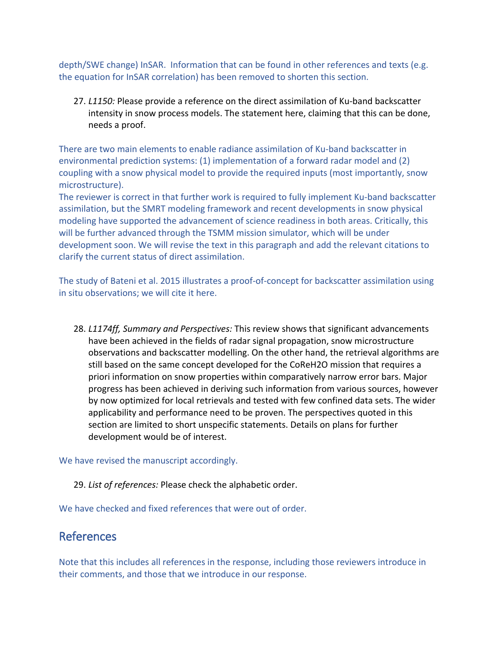depth/SWE change) InSAR. Information that can be found in other references and texts (e.g. the equation for InSAR correlation) has been removed to shorten this section.

27. *L1150:* Please provide a reference on the direct assimilation of Ku-band backscatter intensity in snow process models. The statement here, claiming that this can be done, needs a proof.

There are two main elements to enable radiance assimilation of Ku-band backscatter in environmental prediction systems: (1) implementation of a forward radar model and (2) coupling with a snow physical model to provide the required inputs (most importantly, snow microstructure).

The reviewer is correct in that further work is required to fully implement Ku-band backscatter assimilation, but the SMRT modeling framework and recent developments in snow physical modeling have supported the advancement of science readiness in both areas. Critically, this will be further advanced through the TSMM mission simulator, which will be under development soon. We will revise the text in this paragraph and add the relevant citations to clarify the current status of direct assimilation.

The study of Bateni et al. 2015 illustrates a proof-of-concept for backscatter assimilation using in situ observations; we will cite it here.

28. *L1174ff, Summary and Perspectives:* This review shows that significant advancements have been achieved in the fields of radar signal propagation, snow microstructure observations and backscatter modelling. On the other hand, the retrieval algorithms are still based on the same concept developed for the CoReH2O mission that requires a priori information on snow properties within comparatively narrow error bars. Major progress has been achieved in deriving such information from various sources, however by now optimized for local retrievals and tested with few confined data sets. The wider applicability and performance need to be proven. The perspectives quoted in this section are limited to short unspecific statements. Details on plans for further development would be of interest.

We have revised the manuscript accordingly.

#### 29. *List of references:* Please check the alphabetic order.

We have checked and fixed references that were out of order.

### References

Note that this includes all references in the response, including those reviewers introduce in their comments, and those that we introduce in our response.